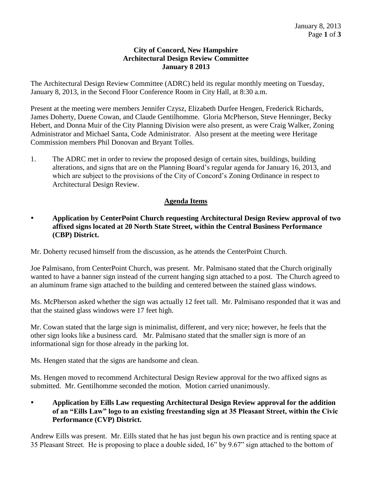## **City of Concord, New Hampshire Architectural Design Review Committee January 8 2013**

The Architectural Design Review Committee (ADRC) held its regular monthly meeting on Tuesday, January 8, 2013, in the Second Floor Conference Room in City Hall, at 8:30 a.m.

Present at the meeting were members Jennifer Czysz, Elizabeth Durfee Hengen, Frederick Richards, James Doherty, Duene Cowan, and Claude Gentilhomme. Gloria McPherson, Steve Henninger, Becky Hebert, and Donna Muir of the City Planning Division were also present, as were Craig Walker, Zoning Administrator and Michael Santa, Code Administrator. Also present at the meeting were Heritage Commission members Phil Donovan and Bryant Tolles.

1. The ADRC met in order to review the proposed design of certain sites, buildings, building alterations, and signs that are on the Planning Board's regular agenda for January 16, 2013, and which are subject to the provisions of the City of Concord's Zoning Ordinance in respect to Architectural Design Review.

## **Agenda Items**

 **Application by CenterPoint Church requesting Architectural Design Review approval of two affixed signs located at 20 North State Street, within the Central Business Performance (CBP) District.** 

Mr. Doherty recused himself from the discussion, as he attends the CenterPoint Church.

Joe Palmisano, from CenterPoint Church, was present. Mr. Palmisano stated that the Church originally wanted to have a banner sign instead of the current hanging sign attached to a post. The Church agreed to an aluminum frame sign attached to the building and centered between the stained glass windows.

Ms. McPherson asked whether the sign was actually 12 feet tall. Mr. Palmisano responded that it was and that the stained glass windows were 17 feet high.

Mr. Cowan stated that the large sign is minimalist, different, and very nice; however, he feels that the other sign looks like a business card. Mr. Palmisano stated that the smaller sign is more of an informational sign for those already in the parking lot.

Ms. Hengen stated that the signs are handsome and clean.

Ms. Hengen moved to recommend Architectural Design Review approval for the two affixed signs as submitted. Mr. Gentilhomme seconded the motion. Motion carried unanimously.

## **Application by Eills Law requesting Architectural Design Review approval for the addition of an "Eills Law" logo to an existing freestanding sign at 35 Pleasant Street, within the Civic Performance (CVP) District.**

Andrew Eills was present. Mr. Eills stated that he has just begun his own practice and is renting space at 35 Pleasant Street. He is proposing to place a double sided, 16" by 9.67" sign attached to the bottom of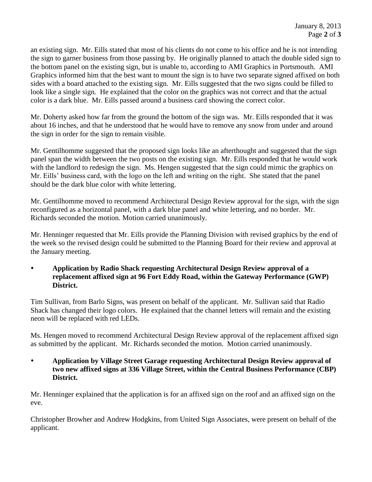an existing sign. Mr. Eills stated that most of his clients do not come to his office and he is not intending the sign to garner business from those passing by. He originally planned to attach the double sided sign to the bottom panel on the existing sign, but is unable to, according to AMI Graphics in Portsmouth. AMI Graphics informed him that the best want to mount the sign is to have two separate signed affixed on both sides with a board attached to the existing sign. Mr. Eills suggested that the two signs could be filled to look like a single sign. He explained that the color on the graphics was not correct and that the actual color is a dark blue. Mr. Eills passed around a business card showing the correct color.

Mr. Doherty asked how far from the ground the bottom of the sign was. Mr. Eills responded that it was about 16 inches, and that he understood that he would have to remove any snow from under and around the sign in order for the sign to remain visible.

Mr. Gentilhomme suggested that the proposed sign looks like an afterthought and suggested that the sign panel span the width between the two posts on the existing sign. Mr. Eills responded that he would work with the landlord to redesign the sign. Ms. Hengen suggested that the sign could mimic the graphics on Mr. Eills' business card, with the logo on the left and writing on the right. She stated that the panel should be the dark blue color with white lettering.

Mr. Gentilhomme moved to recommend Architectural Design Review approval for the sign, with the sign reconfigured as a horizontal panel, with a dark blue panel and white lettering, and no border. Mr. Richards seconded the motion. Motion carried unanimously.

Mr. Henninger requested that Mr. Eills provide the Planning Division with revised graphics by the end of the week so the revised design could be submitted to the Planning Board for their review and approval at the January meeting.

 **Application by Radio Shack requesting Architectural Design Review approval of a replacement affixed sign at 96 Fort Eddy Road, within the Gateway Performance (GWP) District.** 

Tim Sullivan, from Barlo Signs, was present on behalf of the applicant. Mr. Sullivan said that Radio Shack has changed their logo colors. He explained that the channel letters will remain and the existing neon will be replaced with red LEDs.

Ms. Hengen moved to recommend Architectural Design Review approval of the replacement affixed sign as submitted by the applicant. Mr. Richards seconded the motion. Motion carried unanimously.

 **Application by Village Street Garage requesting Architectural Design Review approval of two new affixed signs at 336 Village Street, within the Central Business Performance (CBP) District.** 

Mr. Henninger explained that the application is for an affixed sign on the roof and an affixed sign on the eve.

Christopher Browher and Andrew Hodgkins, from United Sign Associates, were present on behalf of the applicant.